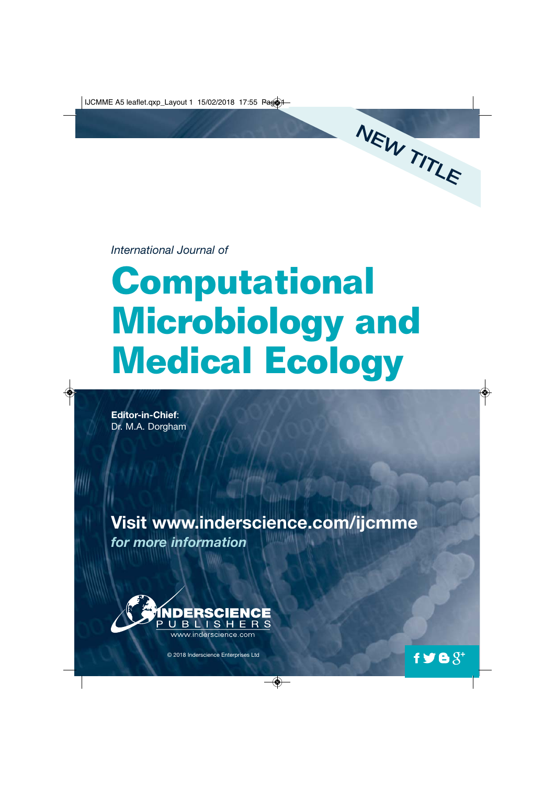*International Journal of*

## **Computational Microbiology and Medical Ecology**

NEW TITLE

 $f \blacktrianglerighteq \blacktrianglerighteq \S^+$ 

**Editor-in-Chief**: Dr. M.A. Dorgham

**Visit www.inderscience.com/ijcmme** *for more information*



© 2018 Inderscience Enterprises Ltd